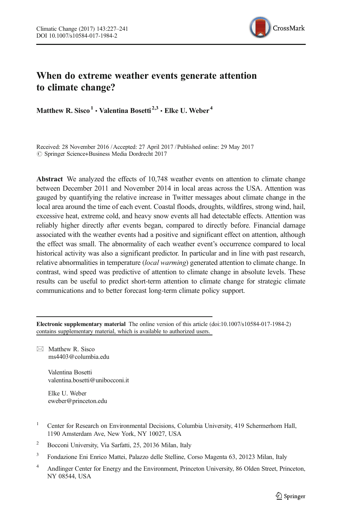

# When do extreme weather events generate attention to climate change?

Matthew R. Sisco<sup>1</sup> • Valentina Bosetti<sup>2,3</sup> • Elke U. Weber<sup>4</sup>

Received: 28 November 2016 /Accepted: 27 April 2017 / Published online: 29 May 2017  $\oslash$  Springer Science+Business Media Dordrecht 2017

Abstract We analyzed the effects of 10,748 weather events on attention to climate change between December 2011 and November 2014 in local areas across the USA. Attention was gauged by quantifying the relative increase in Twitter messages about climate change in the local area around the time of each event. Coastal floods, droughts, wildfires, strong wind, hail, excessive heat, extreme cold, and heavy snow events all had detectable effects. Attention was reliably higher directly after events began, compared to directly before. Financial damage associated with the weather events had a positive and significant effect on attention, although the effect was small. The abnormality of each weather event's occurrence compared to local historical activity was also a significant predictor. In particular and in line with past research, relative abnormalities in temperature (local warming) generated attention to climate change. In contrast, wind speed was predictive of attention to climate change in absolute levels. These results can be useful to predict short-term attention to climate change for strategic climate communications and to better forecast long-term climate policy support.

Electronic supplementary material The online version of this article (doi:[10.1007/s10584-017-1984-2\)](http://dx.doi.org/10.1007/s10584-017-1984-2) contains supplementary material, which is available to authorized users.

 $\boxtimes$  Matthew R. Sisco ms4403@columbia.edu

> Valentina Bosetti valentina.bosetti@unibocconi.it

Elke U. Weber eweber@princeton.edu

- <sup>1</sup> Center for Research on Environmental Decisions, Columbia University, 419 Schermerhorn Hall, 1190 Amsterdam Ave, New York, NY 10027, USA
- <sup>2</sup> Bocconi University, Via Sarfatti, 25, 20136 Milan, Italy
- <sup>3</sup> Fondazione Eni Enrico Mattei, Palazzo delle Stelline, Corso Magenta 63, 20123 Milan, Italy
- <sup>4</sup> Andlinger Center for Energy and the Environment, Princeton University, 86 Olden Street, Princeton, NY 08544, USA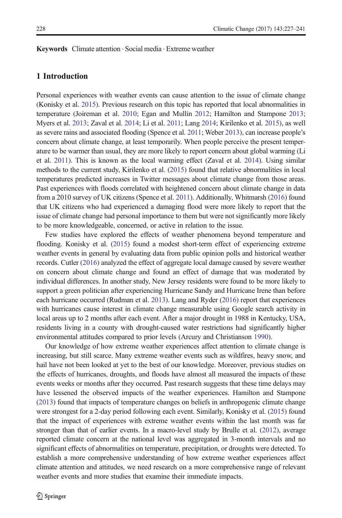Keywords Climate attention . Social media . Extreme weather

# 1 Introduction

Personal experiences with weather events can cause attention to the issue of climate change (Konisky et al. [2015](#page-13-0)). Previous research on this topic has reported that local abnormalities in temperature (Joireman et al. [2010;](#page-13-0) Egan and Mullin [2012](#page-13-0); Hamilton and Stampone [2013](#page-13-0); Myers et al. [2013;](#page-13-0) Zaval et al. [2014;](#page-14-0) Li et al. [2011;](#page-13-0) Lang [2014;](#page-13-0) Kirilenko et al. [2015](#page-13-0)), as well as severe rains and associated flooding (Spence et al. [2011](#page-13-0); Weber [2013](#page-14-0)), can increase people's concern about climate change, at least temporarily. When people perceive the present temperature to be warmer than usual, they are more likely to report concern about global warming (Li et al. [2011\)](#page-13-0). This is known as the local warming effect (Zaval et al. [2014\)](#page-14-0). Using similar methods to the current study, Kirilenko et al. [\(2015\)](#page-13-0) found that relative abnormalities in local temperatures predicted increases in Twitter messages about climate change from those areas. Past experiences with floods correlated with heightened concern about climate change in data from a 2010 survey of UK citizens (Spence et al. [2011](#page-13-0)). Additionally, Whitmarsh [\(2016](#page-14-0)) found that UK citizens who had experienced a damaging flood were more likely to report that the issue of climate change had personal importance to them but were not significantly more likely to be more knowledgeable, concerned, or active in relation to the issue.

Few studies have explored the effects of weather phenomena beyond temperature and flooding. Konisky et al. [\(2015\)](#page-13-0) found a modest short-term effect of experiencing extreme weather events in general by evaluating data from public opinion polls and historical weather records. Cutler [\(2016\)](#page-13-0) analyzed the effect of aggregate local damage caused by severe weather on concern about climate change and found an effect of damage that was moderated by individual differences. In another study, New Jersey residents were found to be more likely to support a green politician after experiencing Hurricane Sandy and Hurricane Irene than before each hurricane occurred (Rudman et al. [2013\)](#page-13-0). Lang and Ryder [\(2016\)](#page-13-0) report that experiences with hurricanes cause interest in climate change measurable using Google search activity in local areas up to 2 months after each event. After a major drought in 1988 in Kentucky, USA, residents living in a county with drought-caused water restrictions had significantly higher environmental attitudes compared to prior levels (Arcury and Christianson [1990\)](#page-13-0).

Our knowledge of how extreme weather experiences affect attention to climate change is increasing, but still scarce. Many extreme weather events such as wildfires, heavy snow, and hail have not been looked at yet to the best of our knowledge. Moreover, previous studies on the effects of hurricanes, droughts, and floods have almost all measured the impacts of these events weeks or months after they occurred. Past research suggests that these time delays may have lessened the observed impacts of the weather experiences. Hamilton and Stampone ([2013](#page-13-0)) found that impacts of temperature changes on beliefs in anthropogenic climate change were strongest for a 2-day period following each event. Similarly, Konisky et al. [\(2015\)](#page-13-0) found that the impact of experiences with extreme weather events within the last month was far stronger than that of earlier events. In a macro-level study by Brulle et al. ([2012](#page-13-0)), average reported climate concern at the national level was aggregated in 3-month intervals and no significant effects of abnormalities on temperature, precipitation, or droughts were detected. To establish a more comprehensive understanding of how extreme weather experiences affect climate attention and attitudes, we need research on a more comprehensive range of relevant weather events and more studies that examine their immediate impacts.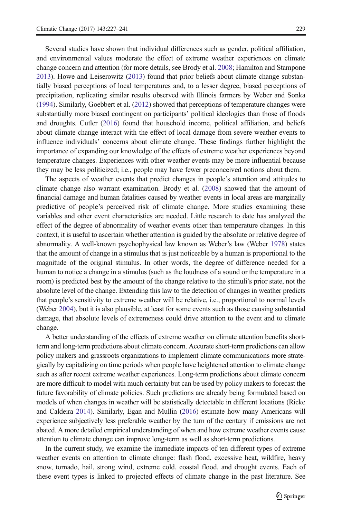Several studies have shown that individual differences such as gender, political affiliation, and environmental values moderate the effect of extreme weather experiences on climate change concern and attention (for more details, see Brody et al. [2008;](#page-13-0) Hamilton and Stampone [2013](#page-13-0)). Howe and Leiserowitz ([2013](#page-13-0)) found that prior beliefs about climate change substantially biased perceptions of local temperatures and, to a lesser degree, biased perceptions of precipitation, replicating similar results observed with Illinois farmers by Weber and Sonka ([1994](#page-14-0)). Similarly, Goebbert et al. ([2012](#page-13-0)) showed that perceptions of temperature changes were substantially more biased contingent on participants' political ideologies than those of floods and droughts. Cutler [\(2016\)](#page-13-0) found that household income, political affiliation, and beliefs about climate change interact with the effect of local damage from severe weather events to influence individuals' concerns about climate change. These findings further highlight the importance of expanding our knowledge of the effects of extreme weather experiences beyond temperature changes. Experiences with other weather events may be more influential because they may be less politicized; i.e., people may have fewer preconceived notions about them.

The aspects of weather events that predict changes in people's attention and attitudes to climate change also warrant examination. Brody et al. ([2008](#page-13-0)) showed that the amount of financial damage and human fatalities caused by weather events in local areas are marginally predictive of people's perceived risk of climate change. More studies examining these variables and other event characteristics are needed. Little research to date has analyzed the effect of the degree of abnormality of weather events other than temperature changes. In this context, it is useful to ascertain whether attention is guided by the absolute or relative degree of abnormality. A well-known psychophysical law known as Weber's law (Weber [1978](#page-14-0)) states that the amount of change in a stimulus that is just noticeable by a human is proportional to the magnitude of the original stimulus. In other words, the degree of difference needed for a human to notice a change in a stimulus (such as the loudness of a sound or the temperature in a room) is predicted best by the amount of the change relative to the stimuli's prior state, not the absolute level of the change. Extending this law to the detection of changes in weather predicts that people's sensitivity to extreme weather will be relative, i.e., proportional to normal levels (Weber [2004](#page-14-0)), but it is also plausible, at least for some events such as those causing substantial damage, that absolute levels of extremeness could drive attention to the event and to climate change.

A better understanding of the effects of extreme weather on climate attention benefits shortterm and long-term predictions about climate concern. Accurate short-term predictions can allow policy makers and grassroots organizations to implement climate communications more strategically by capitalizing on time periods when people have heightened attention to climate change such as after recent extreme weather experiences. Long-term predictions about climate concern are more difficult to model with much certainty but can be used by policy makers to forecast the future favorability of climate policies. Such predictions are already being formulated based on models of when changes in weather will be statistically detectable in different locations (Ricke and Caldeira [2014](#page-13-0)). Similarly, Egan and Mullin [\(2016](#page-13-0)) estimate how many Americans will experience subjectively less preferable weather by the turn of the century if emissions are not abated. A more detailed empirical understanding of when and how extreme weather events cause attention to climate change can improve long-term as well as short-term predictions.

In the current study, we examine the immediate impacts of ten different types of extreme weather events on attention to climate change: flash flood, excessive heat, wildfire, heavy snow, tornado, hail, strong wind, extreme cold, coastal flood, and drought events. Each of these event types is linked to projected effects of climate change in the past literature. See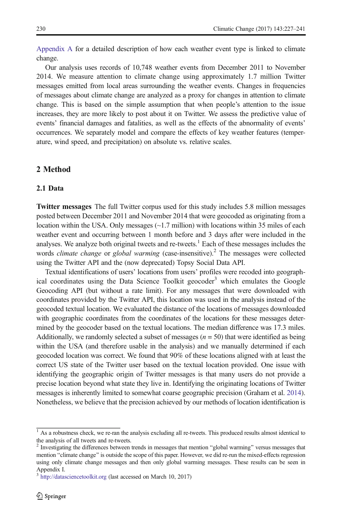Appendix A for a detailed description of how each weather event type is linked to climate change.

Our analysis uses records of 10,748 weather events from December 2011 to November 2014. We measure attention to climate change using approximately 1.7 million Twitter messages emitted from local areas surrounding the weather events. Changes in frequencies of messages about climate change are analyzed as a proxy for changes in attention to climate change. This is based on the simple assumption that when people's attention to the issue increases, they are more likely to post about it on Twitter. We assess the predictive value of events' financial damages and fatalities, as well as the effects of the abnormality of events' occurrences. We separately model and compare the effects of key weather features (temperature, wind speed, and precipitation) on absolute vs. relative scales.

### 2 Method

#### 2.1 Data

Twitter messages The full Twitter corpus used for this study includes 5.8 million messages posted between December 2011 and November 2014 that were geocoded as originating from a location within the USA. Only messages (~1.7 million) with locations within 35 miles of each weather event and occurring between 1 month before and 3 days after were included in the analyses. We analyze both original tweets and re-tweets.<sup>1</sup> Each of these messages includes the words *climate change* or *global warming* (case-insensitive).<sup>2</sup> The messages were collected using the Twitter API and the (now deprecated) Topsy Social Data API.

Textual identifications of users' locations from users' profiles were recoded into geographical coordinates using the Data Science Toolkit geocoder<sup>3</sup> which emulates the Google Geocoding API (but without a rate limit). For any messages that were downloaded with coordinates provided by the Twitter API, this location was used in the analysis instead of the geocoded textual location. We evaluated the distance of the locations of messages downloaded with geographic coordinates from the coordinates of the locations for these messages determined by the geocoder based on the textual locations. The median difference was 17.3 miles. Additionally, we randomly selected a subset of messages ( $n = 50$ ) that were identified as being within the USA (and therefore usable in the analysis) and we manually determined if each geocoded location was correct. We found that 90% of these locations aligned with at least the correct US state of the Twitter user based on the textual location provided. One issue with identifying the geographic origin of Twitter messages is that many users do not provide a precise location beyond what state they live in. Identifying the originating locations of Twitter messages is inherently limited to somewhat coarse geographic precision (Graham et al. [2014](#page-13-0)). Nonetheless, we believe that the precision achieved by our methods of location identification is

<sup>&</sup>lt;sup>1</sup> As a robustness check, we re-ran the analysis excluding all re-tweets. This produced results almost identical to the analysis of all tweets and re-tweets.

 $2$  Investigating the differences between trends in messages that mention "global warming" versus messages that mention "climate change" is outside the scope of this paper. However, we did re-run the mixed-effects regression using only climate change messages and then only global warming messages. These results can be seen in Appendix I.

<sup>3</sup> <http://datasciencetoolkit.org> (last accessed on March 10, 2017)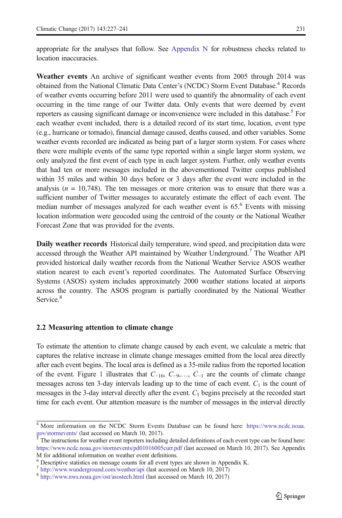appropriate for the analyses that follow. See Appendix N for robustness checks related to location inaccuracies.

Weather events An archive of significant weather events from 2005 through 2014 was obtained from the National Climatic Data Center's (NCDC) Storm Event Database.4 Records of weather events occurring before 2011 were used to quantify the abnormality of each event occurring in the time range of our Twitter data. Only events that were deemed by event reporters as causing significant damage or inconvenience were included in this database.<sup>5</sup> For each weather event included, there is a detailed record of its start time, location, event type (e.g., hurricane or tornado), financial damage caused, deaths caused, and other variables. Some weather events recorded are indicated as being part of a larger storm system. For cases where there were multiple events of the same type reported within a single larger storm system, we only analyzed the first event of each type in each larger system. Further, only weather events that had ten or more messages included in the abovementioned Twitter corpus published within 35 miles and within 30 days before or 3 days after the event were included in the analysis ( $n = 10,748$ ). The ten messages or more criterion was to ensure that there was a sufficient number of Twitter messages to accurately estimate the effect of each event. The median number of messages analyzed for each weather event is 65.<sup>6</sup> Events with missing location information were geocoded using the centroid of the county or the National Weather Forecast Zone that was provided for the events.

Daily weather records Historical daily temperature, wind speed, and precipitation data were accessed through the Weather API maintained by Weather Underground.<sup>7</sup> The Weather API provided historical daily weather records from the National Weather Service ASOS weather station nearest to each event's reported coordinates. The Automated Surface Observing Systems (ASOS) system includes approximately 2000 weather stations located at airports across the country. The ASOS program is partially coordinated by the National Weather Service.<sup>8</sup>

#### 2.2 Measuring attention to climate change

To estimate the attention to climate change caused by each event, we calculate a metric that captures the relative increase in climate change messages emitted from the local area directly after each event begins. The local area is defined as a 35-mile radius from the reported location of the event. Figure [1](#page-5-0) illustrates that  $C_{-10}$ ,  $C_{-9}$ ,…,  $C_{-1}$  are the counts of climate change messages across ten 3-day intervals leading up to the time of each event.  $C_1$  is the count of messages in the 3-day interval directly after the event.  $C_1$  begins precisely at the recorded start time for each event. Our attention measure is the number of messages in the interval directly

<sup>4</sup> More information on the NCDC Storm Events Database can be found here: [https://www.ncdc.noaa.](https://www.ncdc.noaa.gov/stormevents/)<br>gov/stormevents/ (last accessed on March 10, 2017).

The instructions for weather event reporters including detailed definitions of each event type can be found here: <https://www.ncdc.noaa.gov/stormevents/pd01016005curr.pdf> (last accessed on March 10, 2017). See Appendix M for additional information on weather event definitions.

<sup>6</sup> Descriptive statistics on message counts for all event types are shown in Appendix K.

<sup>7</sup> <http://www.wunderground.com/weather/api> (last accessed on March 10, 2017) <sup>8</sup> <http://www.nws.noaa.gov/ost/asostech.html> (last accessed on March 10, 2017)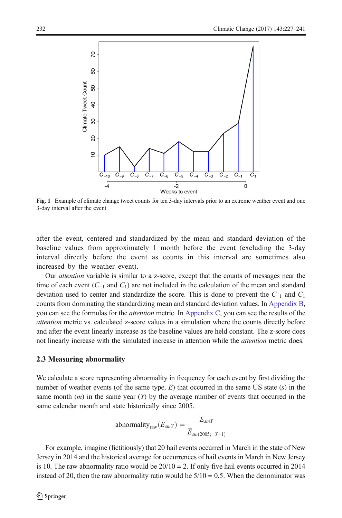<span id="page-5-0"></span>

Fig. 1 Example of climate change tweet counts for ten 3-day intervals prior to an extreme weather event and one 3-day interval after the event

after the event, centered and standardized by the mean and standard deviation of the baseline values from approximately 1 month before the event (excluding the 3-day interval directly before the event as counts in this interval are sometimes also increased by the weather event).

Our attention variable is similar to a z-score, except that the counts of messages near the time of each event  $(C_{-1}$  and  $C_1$ ) are not included in the calculation of the mean and standard deviation used to center and standardize the score. This is done to prevent the  $C_{-1}$  and  $C_1$ counts from dominating the standardizing mean and standard deviation values. In Appendix B, you can see the formulas for the *attention* metric. In Appendix C, you can see the results of the attention metric vs. calculated z-score values in a simulation where the counts directly before and after the event linearly increase as the baseline values are held constant. The z-score does not linearly increase with the simulated increase in attention while the *attention* metric does.

#### 2.3 Measuring abnormality

We calculate a score representing abnormality in frequency for each event by first dividing the number of weather events (of the same type,  $E$ ) that occurred in the same US state  $(s)$  in the same month  $(m)$  in the same year  $(Y)$  by the average number of events that occurred in the same calendar month and state historically since 2005.

$$
\text{abnormality}_{\text{raw}}(E_{smY}) = \frac{E_{smY}}{\overline{E}_{sm(2005; Y=1)}}
$$

For example, imagine (fictitiously) that 20 hail events occurred in March in the state of New Jersey in 2014 and the historical average for occurrences of hail events in March in New Jersey is 10. The raw abnormality ratio would be  $20/10 = 2$ . If only five hail events occurred in 2014 instead of 20, then the raw abnormality ratio would be  $5/10 = 0.5$ . When the denominator was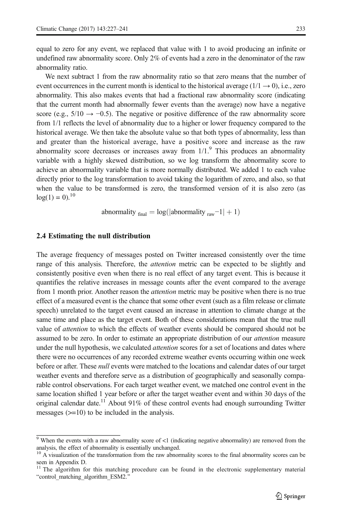equal to zero for any event, we replaced that value with 1 to avoid producing an infinite or undefined raw abnormality score. Only 2% of events had a zero in the denominator of the raw abnormality ratio.

We next subtract 1 from the raw abnormality ratio so that zero means that the number of event occurrences in the current month is identical to the historical average  $(1/1 \rightarrow 0)$ , i.e., zero abnormality. This also makes events that had a fractional raw abnormality score (indicating that the current month had abnormally fewer events than the average) now have a negative score (e.g.,  $5/10 \rightarrow -0.5$ ). The negative or positive difference of the raw abnormality score from 1/1 reflects the level of abnormality due to a higher or lower frequency compared to the historical average. We then take the absolute value so that both types of abnormality, less than and greater than the historical average, have a positive score and increase as the raw abnormality score decreases or increases away from  $1/1$ .<sup>9</sup> This produces an abnormality variable with a highly skewed distribution, so we log transform the abnormality score to achieve an abnormality variable that is more normally distributed. We added 1 to each value directly prior to the log transformation to avoid taking the logarithm of zero, and also, so that when the value to be transformed is zero, the transformed version of it is also zero (as  $log(1) = 0$ .<sup>10</sup>

abnormality  $_{final} = log(|abnormality_{raw}-1| + 1)$ 

#### 2.4 Estimating the null distribution

The average frequency of messages posted on Twitter increased consistently over the time range of this analysis. Therefore, the *attention* metric can be expected to be slightly and consistently positive even when there is no real effect of any target event. This is because it quantifies the relative increases in message counts after the event compared to the average from 1 month prior. Another reason the *attention* metric may be positive when there is no true effect of a measured event is the chance that some other event (such as a film release or climate speech) unrelated to the target event caused an increase in attention to climate change at the same time and place as the target event. Both of these considerations mean that the true null value of attention to which the effects of weather events should be compared should not be assumed to be zero. In order to estimate an appropriate distribution of our *attention* measure under the null hypothesis, we calculated *attention* scores for a set of locations and dates where there were no occurrences of any recorded extreme weather events occurring within one week before or after. These *null* events were matched to the locations and calendar dates of our target weather events and therefore serve as a distribution of geographically and seasonally comparable control observations. For each target weather event, we matched one control event in the same location shifted 1 year before or after the target weather event and within 30 days of the original calendar date.<sup>11</sup> About 91% of these control events had enough surrounding Twitter messages  $(>=10)$  to be included in the analysis.

<sup>&</sup>lt;sup>9</sup> When the events with a raw abnormality score of <1 (indicating negative abnormality) are removed from the analysis, the effect of abnormality is essentially unchanged.

<sup>&</sup>lt;sup>10</sup> A visualization of the transformation from the raw abnormality scores to the final abnormality scores can be seen in Appendix D.

<sup>&</sup>lt;sup>11</sup> The algorithm for this matching procedure can be found in the electronic supplementary material "control\_matching\_algorithm\_ESM2."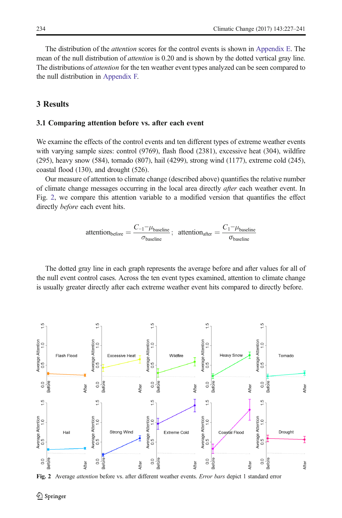The distribution of the attention scores for the control events is shown in Appendix E. The mean of the null distribution of *attention* is 0.20 and is shown by the dotted vertical gray line. The distributions of *attention* for the ten weather event types analyzed can be seen compared to the null distribution in Appendix F.

# 3 Results

#### 3.1 Comparing attention before vs. after each event

We examine the effects of the control events and ten different types of extreme weather events with varying sample sizes: control (9769), flash flood (2381), excessive heat (304), wildfire (295), heavy snow (584), tornado (807), hail (4299), strong wind (1177), extreme cold (245), coastal flood (130), and drought (526).

Our measure of attention to climate change (described above) quantifies the relative number of climate change messages occurring in the local area directly *after* each weather event. In Fig. 2, we compare this attention variable to a modified version that quantifies the effect directly *before* each event hits.

$$
attention_{before} = \frac{C_{-1} - \mu_{baseline}}{\sigma_{baseline}}; attention_{after} = \frac{C_1 - \mu_{baseline}}{\sigma_{baseline}}
$$

The dotted gray line in each graph represents the average before and after values for all of the null event control cases. Across the ten event types examined, attention to climate change is usually greater directly after each extreme weather event hits compared to directly before.



Fig. 2 Average attention before vs. after different weather events. Error bars depict 1 standard error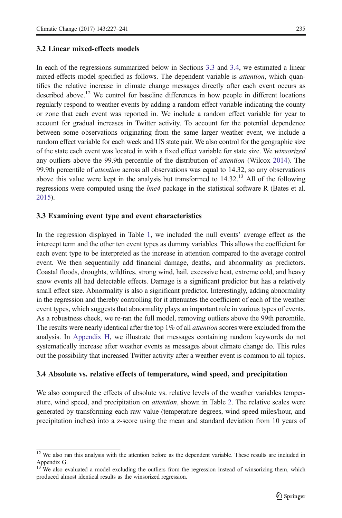### 3.2 Linear mixed-effects models

In each of the regressions summarized below in Sections 3.3 and 3.4, we estimated a linear mixed-effects model specified as follows. The dependent variable is *attention*, which quantifies the relative increase in climate change messages directly after each event occurs as described above.<sup>12</sup> We control for baseline differences in how people in different locations regularly respond to weather events by adding a random effect variable indicating the county or zone that each event was reported in. We include a random effect variable for year to account for gradual increases in Twitter activity. To account for the potential dependence between some observations originating from the same larger weather event, we include a random effect variable for each week and US state pair. We also control for the geographic size of the state each event was located in with a fixed effect variable for state size. We winsorized any outliers above the 99.9th percentile of the distribution of attention (Wilcox [2014\)](#page-14-0). The 99.9th percentile of *attention* across all observations was equal to 14.32, so any observations above this value were kept in the analysis but transformed to  $14.32<sup>13</sup>$  All of the following regressions were computed using the *lme4* package in the statistical software R (Bates et al. [2015](#page-13-0)).

#### 3.3 Examining event type and event characteristics

In the regression displayed in Table [1](#page-9-0), we included the null events' average effect as the intercept term and the other ten event types as dummy variables. This allows the coefficient for each event type to be interpreted as the increase in attention compared to the average control event. We then sequentially add financial damage, deaths, and abnormality as predictors. Coastal floods, droughts, wildfires, strong wind, hail, excessive heat, extreme cold, and heavy snow events all had detectable effects. Damage is a significant predictor but has a relatively small effect size. Abnormality is also a significant predictor. Interestingly, adding abnormality in the regression and thereby controlling for it attenuates the coefficient of each of the weather event types, which suggests that abnormality plays an important role in various types of events. As a robustness check, we re-ran the full model, removing outliers above the 99th percentile. The results were nearly identical after the top 1% of all *attention* scores were excluded from the analysis. In Appendix H, we illustrate that messages containing random keywords do not systematically increase after weather events as messages about climate change do. This rules out the possibility that increased Twitter activity after a weather event is common to all topics.

#### 3.4 Absolute vs. relative effects of temperature, wind speed, and precipitation

We also compared the effects of absolute vs. relative levels of the weather variables temperature, wind speed, and precipitation on attention, shown in Table [2.](#page-10-0) The relative scales were generated by transforming each raw value (temperature degrees, wind speed miles/hour, and precipitation inches) into a z-score using the mean and standard deviation from 10 years of

 $\frac{12}{12}$  We also ran this analysis with the attention before as the dependent variable. These results are included in Appendix G.

We also evaluated a model excluding the outliers from the regression instead of winsorizing them, which produced almost identical results as the winsorized regression.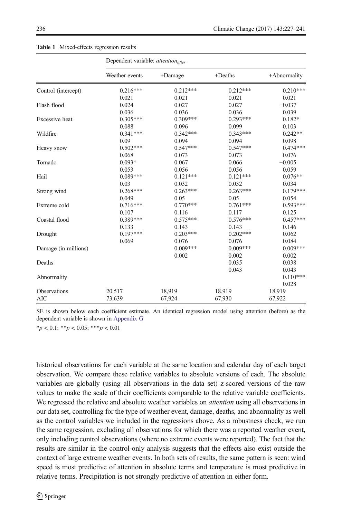|                       | Dependent variable: $attention_{after}$ |            |            |              |  |
|-----------------------|-----------------------------------------|------------|------------|--------------|--|
|                       | Weather events                          | +Damage    | $+Deaths$  | +Abnormality |  |
| Control (intercept)   | $0.216***$                              | $0.212***$ | $0.212***$ | $0.210***$   |  |
|                       | 0.021                                   | 0.021      | 0.021      | 0.021        |  |
| Flash flood           | 0.024                                   | 0.027      | 0.027      | $-0.037$     |  |
|                       | 0.036                                   | 0.036      | 0.036      | 0.039        |  |
| <b>Excessive</b> heat | $0.305***$                              | $0.309***$ | $0.293***$ | $0.182*$     |  |
|                       | 0.088                                   | 0.096      | 0.099      | 0.103        |  |
| Wildfire              | $0.341***$                              | $0.342***$ | $0.343***$ | $0.242**$    |  |
|                       | 0.09                                    | 0.094      | 0.094      | 0.098        |  |
| Heavy snow            | $0.502***$                              | $0.547***$ | $0.547***$ | $0.474***$   |  |
|                       | 0.068                                   | 0.073      | 0.073      | 0.076        |  |
| Tornado               | $0.093*$                                | 0.067      | 0.066      | $-0.005$     |  |
|                       | 0.053                                   | 0.056      | 0.056      | 0.059        |  |
| Hail                  | $0.089***$                              | $0.121***$ | $0.121***$ | $0.076**$    |  |
|                       | 0.03                                    | 0.032      | 0.032      | 0.034        |  |
| Strong wind           | $0.268***$                              | $0.263***$ | $0.263***$ | $0.179***$   |  |
|                       | 0.049                                   | 0.05       | 0.05       | 0.054        |  |
| Extreme cold          | $0.716***$                              | $0.770***$ | $0.761***$ | $0.593***$   |  |
|                       | 0.107                                   | 0.116      | 0.117      | 0.125        |  |
| Coastal flood         | 0.389***                                | $0.575***$ | $0.576***$ | $0.457***$   |  |
|                       | 0.133                                   | 0.143      | 0.143      | 0.146        |  |
| Drought               | $0.197***$                              | $0.203***$ | $0.202***$ | 0.062        |  |
|                       | 0.069                                   | 0.076      | 0.076      | 0.084        |  |
| Damage (in millions)  |                                         | $0.009***$ | $0.009***$ | $0.009***$   |  |
|                       |                                         | 0.002      | 0.002      | 0.002        |  |
| Deaths                |                                         |            | 0.035      | 0.038        |  |
|                       |                                         |            | 0.043      | 0.043        |  |
| Abnormality           |                                         |            |            | $0.110***$   |  |
|                       |                                         |            |            | 0.028        |  |
| Observations          | 20,517                                  | 18,919     | 18,919     | 18,919       |  |
| <b>AIC</b>            | 73,639                                  | 67,924     | 67,930     | 67,922       |  |

<span id="page-9-0"></span>

SE is shown below each coefficient estimate. An identical regression model using attention (before) as the dependent variable is shown in Appendix G

 $*_p$  < 0.1;  $**_p$  < 0.05;  $***_p$  < 0.01

historical observations for each variable at the same location and calendar day of each target observation. We compare these relative variables to absolute versions of each. The absolute variables are globally (using all observations in the data set) z-scored versions of the raw values to make the scale of their coefficients comparable to the relative variable coefficients. We regressed the relative and absolute weather variables on *attention* using all observations in our data set, controlling for the type of weather event, damage, deaths, and abnormality as well as the control variables we included in the regressions above. As a robustness check, we run the same regression, excluding all observations for which there was a reported weather event, only including control observations (where no extreme events were reported). The fact that the results are similar in the control-only analysis suggests that the effects also exist outside the context of large extreme weather events. In both sets of results, the same pattern is seen: wind speed is most predictive of attention in absolute terms and temperature is most predictive in relative terms. Precipitation is not strongly predictive of attention in either form.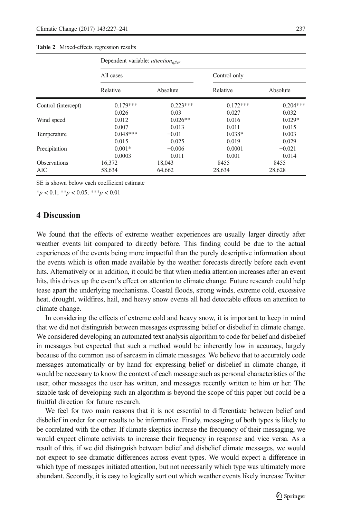|                     | Dependent variable: <i>attention</i> <sub>after</sub> |            |              |            |  |
|---------------------|-------------------------------------------------------|------------|--------------|------------|--|
|                     | All cases                                             |            | Control only |            |  |
|                     | Relative                                              | Absolute   | Relative     | Absolute   |  |
| Control (intercept) | $0.179***$                                            | $0.223***$ | $0.172***$   | $0.204***$ |  |
|                     | 0.026                                                 | 0.03       | 0.027        | 0.032      |  |
| Wind speed          | 0.012                                                 | $0.026**$  | 0.016        | $0.029*$   |  |
|                     | 0.007                                                 | 0.013      | 0.011        | 0.015      |  |
| Temperature         | $0.048***$                                            | $-0.01$    | $0.038*$     | 0.003      |  |
|                     | 0.015                                                 | 0.025      | 0.019        | 0.029      |  |
| Precipitation       | $0.001*$                                              | $-0.006$   | 0.0001       | $-0.021$   |  |
|                     | 0.0003                                                | 0.011      | 0.001        | 0.014      |  |
| <b>Observations</b> | 16,372                                                | 18.043     | 8455         | 8455       |  |
| AIC                 | 58,634                                                | 64,662     | 28,634       | 28,628     |  |

<span id="page-10-0"></span>Table 2 Mixed-effects regression results

SE is shown below each coefficient estimate

 $*_{p}$  < 0.1; \*\*p < 0.05; \*\*\*p < 0.01

# 4 Discussion

We found that the effects of extreme weather experiences are usually larger directly after weather events hit compared to directly before. This finding could be due to the actual experiences of the events being more impactful than the purely descriptive information about the events which is often made available by the weather forecasts directly before each event hits. Alternatively or in addition, it could be that when media attention increases after an event hits, this drives up the event's effect on attention to climate change. Future research could help tease apart the underlying mechanisms. Coastal floods, strong winds, extreme cold, excessive heat, drought, wildfires, hail, and heavy snow events all had detectable effects on attention to climate change.

In considering the effects of extreme cold and heavy snow, it is important to keep in mind that we did not distinguish between messages expressing belief or disbelief in climate change. We considered developing an automated text analysis algorithm to code for belief and disbelief in messages but expected that such a method would be inherently low in accuracy, largely because of the common use of sarcasm in climate messages. We believe that to accurately code messages automatically or by hand for expressing belief or disbelief in climate change, it would be necessary to know the context of each message such as personal characteristics of the user, other messages the user has written, and messages recently written to him or her. The sizable task of developing such an algorithm is beyond the scope of this paper but could be a fruitful direction for future research.

We feel for two main reasons that it is not essential to differentiate between belief and disbelief in order for our results to be informative. Firstly, messaging of both types is likely to be correlated with the other. If climate skeptics increase the frequency of their messaging, we would expect climate activists to increase their frequency in response and vice versa. As a result of this, if we did distinguish between belief and disbelief climate messages, we would not expect to see dramatic differences across event types. We would expect a difference in which type of messages initiated attention, but not necessarily which type was ultimately more abundant. Secondly, it is easy to logically sort out which weather events likely increase Twitter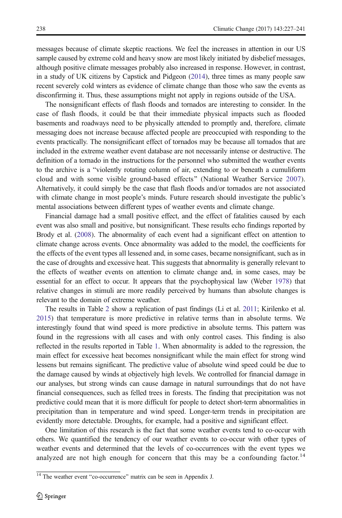messages because of climate skeptic reactions. We feel the increases in attention in our US sample caused by extreme cold and heavy snow are most likely initiated by disbelief messages, although positive climate messages probably also increased in response. However, in contrast, in a study of UK citizens by Capstick and Pidgeon [\(2014\)](#page-13-0), three times as many people saw recent severely cold winters as evidence of climate change than those who saw the events as disconfirming it. Thus, these assumptions might not apply in regions outside of the USA.

The nonsignificant effects of flash floods and tornados are interesting to consider. In the case of flash floods, it could be that their immediate physical impacts such as flooded basements and roadways need to be physically attended to promptly and, therefore, climate messaging does not increase because affected people are preoccupied with responding to the events practically. The nonsignificant effect of tornados may be because all tornados that are included in the extreme weather event database are not necessarily intense or destructive. The definition of a tornado in the instructions for the personnel who submitted the weather events to the archive is a "violently rotating column of air, extending to or beneath a cumuliform cloud and with some visible ground-based effects^ (National Weather Service [2007](#page-13-0)). Alternatively, it could simply be the case that flash floods and/or tornados are not associated with climate change in most people's minds. Future research should investigate the public's mental associations between different types of weather events and climate change.

Financial damage had a small positive effect, and the effect of fatalities caused by each event was also small and positive, but nonsignificant. These results echo findings reported by Brody et al. ([2008](#page-13-0)). The abnormality of each event had a significant effect on attention to climate change across events. Once abnormality was added to the model, the coefficients for the effects of the event types all lessened and, in some cases, became nonsignificant, such as in the case of droughts and excessive heat. This suggests that abnormality is generally relevant to the effects of weather events on attention to climate change and, in some cases, may be essential for an effect to occur. It appears that the psychophysical law (Weber [1978\)](#page-14-0) that relative changes in stimuli are more readily perceived by humans than absolute changes is relevant to the domain of extreme weather.

The results in Table [2](#page-10-0) show a replication of past findings (Li et al. [2011](#page-13-0); Kirilenko et al. [2015\)](#page-13-0) that temperature is more predictive in relative terms than in absolute terms. We interestingly found that wind speed is more predictive in absolute terms. This pattern was found in the regressions with all cases and with only control cases. This finding is also reflected in the results reported in Table [1](#page-9-0). When abnormality is added to the regression, the main effect for excessive heat becomes nonsignificant while the main effect for strong wind lessens but remains significant. The predictive value of absolute wind speed could be due to the damage caused by winds at objectively high levels. We controlled for financial damage in our analyses, but strong winds can cause damage in natural surroundings that do not have financial consequences, such as felled trees in forests. The finding that precipitation was not predictive could mean that it is more difficult for people to detect short-term abnormalities in precipitation than in temperature and wind speed. Longer-term trends in precipitation are evidently more detectable. Droughts, for example, had a positive and significant effect.

One limitation of this research is the fact that some weather events tend to co-occur with others. We quantified the tendency of our weather events to co-occur with other types of weather events and determined that the levels of co-occurrences with the event types we analyzed are not high enough for concern that this may be a confounding factor.<sup>14</sup>

 $\frac{14}{14}$  The weather event "co-occurrence" matrix can be seen in Appendix J.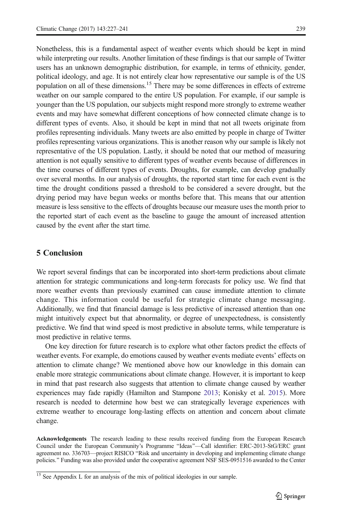Nonetheless, this is a fundamental aspect of weather events which should be kept in mind while interpreting our results. Another limitation of these findings is that our sample of Twitter users has an unknown demographic distribution, for example, in terms of ethnicity, gender, political ideology, and age. It is not entirely clear how representative our sample is of the US population on all of these dimensions.<sup>15</sup> There may be some differences in effects of extreme weather on our sample compared to the entire US population. For example, if our sample is younger than the US population, our subjects might respond more strongly to extreme weather events and may have somewhat different conceptions of how connected climate change is to different types of events. Also, it should be kept in mind that not all tweets originate from profiles representing individuals. Many tweets are also emitted by people in charge of Twitter profiles representing various organizations. This is another reason why our sample is likely not representative of the US population. Lastly, it should be noted that our method of measuring attention is not equally sensitive to different types of weather events because of differences in the time courses of different types of events. Droughts, for example, can develop gradually over several months. In our analysis of droughts, the reported start time for each event is the time the drought conditions passed a threshold to be considered a severe drought, but the drying period may have begun weeks or months before that. This means that our attention measure is less sensitive to the effects of droughts because our measure uses the month prior to the reported start of each event as the baseline to gauge the amount of increased attention caused by the event after the start time.

# 5 Conclusion

We report several findings that can be incorporated into short-term predictions about climate attention for strategic communications and long-term forecasts for policy use. We find that more weather events than previously examined can cause immediate attention to climate change. This information could be useful for strategic climate change messaging. Additionally, we find that financial damage is less predictive of increased attention than one might intuitively expect but that abnormality, or degree of unexpectedness, is consistently predictive. We find that wind speed is most predictive in absolute terms, while temperature is most predictive in relative terms.

One key direction for future research is to explore what other factors predict the effects of weather events. For example, do emotions caused by weather events mediate events' effects on attention to climate change? We mentioned above how our knowledge in this domain can enable more strategic communications about climate change. However, it is important to keep in mind that past research also suggests that attention to climate change caused by weather experiences may fade rapidly (Hamilton and Stampone [2013](#page-13-0); Konisky et al. [2015\)](#page-13-0). More research is needed to determine how best we can strategically leverage experiences with extreme weather to encourage long-lasting effects on attention and concern about climate change.

Acknowledgements The research leading to these results received funding from the European Research Council under the European Community's Programme "Ideas"—Call identifier: ERC-2013-StG/ERC grant agreement no. 336703—project RISICO "Risk and uncertainty in developing and implementing climate change policies.^ Funding was also provided under the cooperative agreement NSF SES-0951516 awarded to the Center

 $\frac{15}{15}$  See Appendix L for an analysis of the mix of political ideologies in our sample.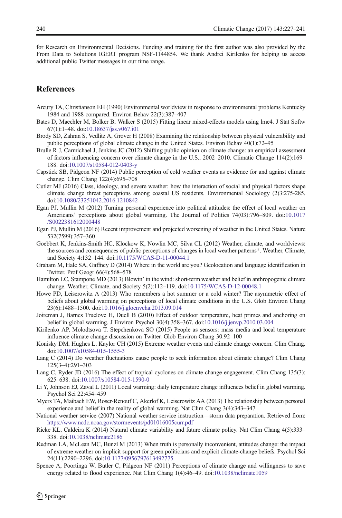<span id="page-13-0"></span>for Research on Environmental Decisions. Funding and training for the first author was also provided by the From Data to Solutions IGERT program NSF-1144854. We thank Andrei Kirilenko for helping us access additional public Twitter messages in our time range.

# **References**

- Arcury TA, Christianson EH (1990) Environmental worldview in response to environmental problems Kentucky 1984 and 1988 compared. Environ Behav 22(3):387–407
- Bates D, Maechler M, Bolker B, Walker S (2015) Fitting linear mixed-effects models using lme4. J Stat Softw 67(1):1–48. doi[:10.18637/jss.v067.i01](http://dx.doi.org/10.18637/jss.v067.i01)
- Brody SD, Zahran S, Vedlitz A, Grover H (2008) Examining the relationship between physical vulnerability and public perceptions of global climate change in the United States. Environ Behav 40(1):72–95
- Brulle R J, Carmichael J, Jenkins JC (2012) Shifting public opinion on climate change: an empirical assessment of factors influencing concern over climate change in the U.S., 2002–2010. Climatic Change 114(2):169– 188. doi[:10.1007/s10584-012-0403-y](http://dx.doi.org/10.1007/s10584-012-0403-y)
- Capstick SB, Pidgeon NF (2014) Public perception of cold weather events as evidence for and against climate change. Clim Chang 122(4):695–708
- Cutler MJ (2016) Class, ideology, and severe weather: how the interaction of social and physical factors shape climate change threat perceptions among coastal US residents. Environmental Sociology (2)3:275-285. doi:[10.1080/23251042.2016.1210842](http://dx.doi.org/10.1080/23251042.2016.1210842)
- Egan PJ, Mullin M (2012) Turning personal experience into political attitudes: the effect of local weather on Americans' perceptions about global warming. The Journal of Politics 74(03):796–809. doi:[10.1017](http://dx.doi.org/10.1017/S0022381612000448) [/S0022381612000448](http://dx.doi.org/10.1017/S0022381612000448)
- Egan PJ, Mullin M (2016) Recent improvement and projected worsening of weather in the United States. Nature 532(7599):357–360
- Goebbert K, Jenkins-Smith HC, Klockow K, Nowlin MC, Silva CL (2012) Weather, climate, and worldviews: the sources and consequences of public perceptions of changes in local weather patterns\*. Weather, Climate, and Society 4:132–144. doi:[10.1175/WCAS-D-11-00044.1](http://dx.doi.org/10.1175/WCAS-D-11-00044.1)
- Graham M, Hale SA, Gaffney D (2014) Where in the world are you? Geolocation and language identification in Twitter. Prof Geogr 66(4):568–578
- Hamilton LC, Stampone MD (2013) Blowin' in the wind: short-term weather and belief in anthropogenic climate change. Weather, Climate, and Society 5(2):112–119. doi:[10.1175/WCAS-D-12-00048.1](http://dx.doi.org/10.1175/WCAS-D-12-00048.1)
- Howe PD, Leiserowitz A (2013) Who remembers a hot summer or a cold winter? The asymmetric effect of beliefs about global warming on perceptions of local climate conditions in the U.S. Glob Environ Chang 23(6):1488–1500. doi[:10.1016/j.gloenvcha.2013.09.014](http://dx.doi.org/10.1016/j.gloenvcha.2013.09.014)
- Joireman J, Barnes Truelove H, Duell B (2010) Effect of outdoor temperature, heat primes and anchoring on belief in global warming. J Environ Psychol 30(4):358–367. doi:[10.1016/j.jenvp.2010.03.004](http://dx.doi.org/10.1016/j.jenvp.2010.03.004)
- Kirilenko AP, Molodtsova T, Stepchenkova SO (2015) People as sensors: mass media and local temperature influence climate change discussion on Twitter. Glob Environ Chang 30:92–100
- Konisky DM, Hughes L, Kaylor CH (2015) Extreme weather events and climate change concern. Clim Chang. doi:[10.1007/s10584-015-1555-3](http://dx.doi.org/10.1007/s10584-015-1555-3)
- Lang C (2014) Do weather fluctuations cause people to seek information about climate change? Clim Chang 125(3–4):291–303
- Lang C, Ryder JD (2016) The effect of tropical cyclones on climate change engagement. Clim Chang 135(3): 625–638. doi[:10.1007/s10584-015-1590-0](http://dx.doi.org/10.1007/s10584-015-1590-0)
- Li Y, Johnson EJ, Zaval L (2011) Local warming: daily temperature change influences belief in global warming. Psychol Sci 22:454–459
- Myers TA, Maibach EW, Roser-Renouf C, Akerlof K, Leiserowitz AA (2013) The relationship between personal experience and belief in the reality of global warming. Nat Clim Chang 3(4):343–347
- National weather service (2007) National weather service instruction—storm data preparation. Retrieved from: <https://www.ncdc.noaa.gov/stormevents/pd01016005curr.pdf>
- Ricke KL, Caldeira K (2014) Natural climate variability and future climate policy. Nat Clim Chang 4(5):333– 338. doi[:10.1038/nclimate2186](http://dx.doi.org/10.1038/nclimate2186)
- Rudman LA, McLean MC, Bunzl M (2013) When truth is personally inconvenient, attitudes change: the impact of extreme weather on implicit support for green politicians and explicit climate-change beliefs. Psychol Sci 24(11):2290–2296. doi[:10.1177/0956797613492775](http://dx.doi.org/10.1177/0956797613492775)
- Spence A, Poortinga W, Butler C, Pidgeon NF (2011) Perceptions of climate change and willingness to save energy related to flood experience. Nat Clim Chang 1(4):46-49. doi[:10.1038/nclimate1059](http://dx.doi.org/10.1038/nclimate1059)